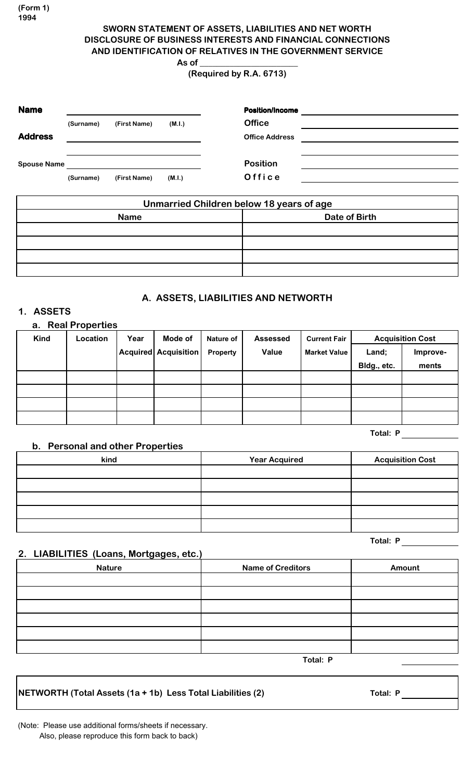**(Form 1) 1994**

# **SWORN STATEMENT OF ASSETS, LIABILITIES AND NET WORTH DISCLOSURE OF BUSINESS INTERESTS AND FINANCIAL CONNECTIONS AND IDENTIFICATION OF RELATIVES IN THE GOVERNMENT SERVICE**

**As of \_\_\_\_\_\_\_\_\_\_\_\_\_\_\_\_\_\_\_\_\_\_\_ (Required by R.A. 6713)**

# **Name Position/Income (Surname) (First Name) (M.I.) Office Address Office Address Spouse Name Position (Surname) (First Name) (M.I.) O f f i c e Unmarried Children below 18 years of age Name Date of Birth**

# **A. ASSETS, LIABILITIES AND NETWORTH**

# **1. ASSETS**

| <b>Real Properties</b><br>a. |                 |      |                      |                  |                 |                     |                         |          |
|------------------------------|-----------------|------|----------------------|------------------|-----------------|---------------------|-------------------------|----------|
| Kind                         | <b>Location</b> | Year | Mode of              | <b>Nature of</b> | <b>Assessed</b> | <b>Current Fair</b> | <b>Acquisition Cost</b> |          |
|                              |                 |      | Acquired Acquisition | <b>Property</b>  | Value           | <b>Market Value</b> | Land;                   | Improve- |
|                              |                 |      |                      |                  |                 |                     | Bldg., etc.             | ments    |
|                              |                 |      |                      |                  |                 |                     |                         |          |
|                              |                 |      |                      |                  |                 |                     |                         |          |
|                              |                 |      |                      |                  |                 |                     |                         |          |
|                              |                 |      |                      |                  |                 |                     |                         |          |

**Total: P**

#### **b. Personal and other Properties**

| kind | <b>Year Acquired</b> | <b>Acquisition Cost</b> |
|------|----------------------|-------------------------|
|      |                      |                         |
|      |                      |                         |
|      |                      |                         |
|      |                      |                         |
|      |                      |                         |

**Total: P**

#### **2. LIABILITIES (Loans, Mortgages, etc.)**

| <b>Nature</b> | <b>Name of Creditors</b> | Amount |  |
|---------------|--------------------------|--------|--|
|               |                          |        |  |
|               |                          |        |  |
|               |                          |        |  |
|               |                          |        |  |
|               |                          |        |  |
|               |                          |        |  |
|               | Total: P                 |        |  |

**NETWORTH (Total Assets (1a + 1b) Less Total Liabilities (2) Total: P**

(Note: Please use additional forms/sheets if necessary. Also, please reproduce this form back to back)